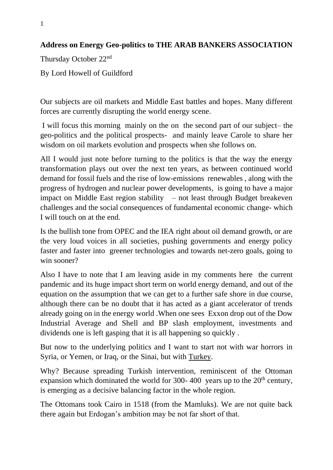## **Address on Energy Geo-politics to THE ARAB BANKERS ASSOCIATION**

Thursday October 22nd

By Lord Howell of Guildford

Our subjects are oil markets and Middle East battles and hopes. Many different forces are currently disrupting the world energy scene.

I will focus this morning mainly on the on the second part of our subject– the geo-politics and the political prospects- and mainly leave Carole to share her wisdom on oil markets evolution and prospects when she follows on.

All I would just note before turning to the politics is that the way the energy transformation plays out over the next ten years, as between continued world demand for fossil fuels and the rise of low-emissions renewables , along with the progress of hydrogen and nuclear power developments, is going to have a major impact on Middle East region stability – not least through Budget breakeven challenges and the social consequences of fundamental economic change- which I will touch on at the end.

Is the bullish tone from OPEC and the IEA right about oil demand growth, or are the very loud voices in all societies, pushing governments and energy policy faster and faster into greener technologies and towards net-zero goals, going to win sooner?

Also I have to note that I am leaving aside in my comments here the current pandemic and its huge impact short term on world energy demand, and out of the equation on the assumption that we can get to a further safe shore in due course, although there can be no doubt that it has acted as a giant accelerator of trends already going on in the energy world .When one sees Exxon drop out of the Dow Industrial Average and Shell and BP slash employment, investments and dividends one is left gasping that it is all happening so quickly .

But now to the underlying politics and I want to start not with war horrors in Syria, or Yemen, or Iraq, or the Sinai, but with Turkey.

Why? Because spreading Turkish intervention, reminiscent of the Ottoman expansion which dominated the world for 300-400 years up to the  $20<sup>th</sup>$  century, is emerging as a decisive balancing factor in the whole region.

The Ottomans took Cairo in 1518 (from the Mamluks). We are not quite back there again but Erdogan's ambition may be not far short of that.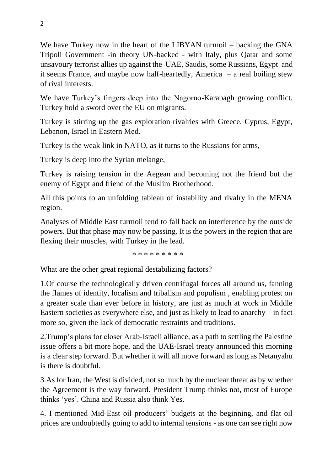We have Turkey now in the heart of the LIBYAN turmoil – backing the GNA Tripoli Government -in theory UN-backed - with Italy, plus Qatar and some unsavoury terrorist allies up against the UAE, Saudis, some Russians, Egypt and it seems France, and maybe now half-heartedly, America – a real boiling stew of rival interests.

We have Turkey's fingers deep into the Nagorno-Karabagh growing conflict. Turkey hold a sword over the EU on migrants.

Turkey is stirring up the gas exploration rivalries with Greece, Cyprus, Egypt, Lebanon, Israel in Eastern Med.

Turkey is the weak link in NATO, as it turns to the Russians for arms,

Turkey is deep into the Syrian melange,

Turkey is raising tension in the Aegean and becoming not the friend but the enemy of Egypt and friend of the Muslim Brotherhood.

All this points to an unfolding tableau of instability and rivalry in the MENA region.

Analyses of Middle East turmoil tend to fall back on interference by the outside powers. But that phase may now be passing. It is the powers in the region that are flexing their muscles, with Turkey in the lead.

\* \* \* \* \* \* \* \* \*

What are the other great regional destabilizing factors?

1.Of course the technologically driven centrifugal forces all around us, fanning the flames of identity, localism and tribalism and populism , enabling protest on a greater scale than ever before in history, are just as much at work in Middle Eastern societies as everywhere else, and just as likely to lead to anarchy – in fact more so, given the lack of democratic restraints and traditions.

2.Trump's plans for closer Arab-Israeli alliance, as a path to settling the Palestine issue offers a bit more hope, and the UAE-Israel treaty announced this morning is a clear step forward. But whether it will all move forward as long as Netanyahu is there is doubtful.

3.As for Iran, the West is divided, not so much by the nuclear threat as by whether the Agreement is the way forward. President Trump thinks not, most of Europe thinks 'yes'. China and Russia also think Yes.

4. I mentioned Mid-East oil producers' budgets at the beginning, and flat oil prices are undoubtedly going to add to internal tensions - as one can see right now